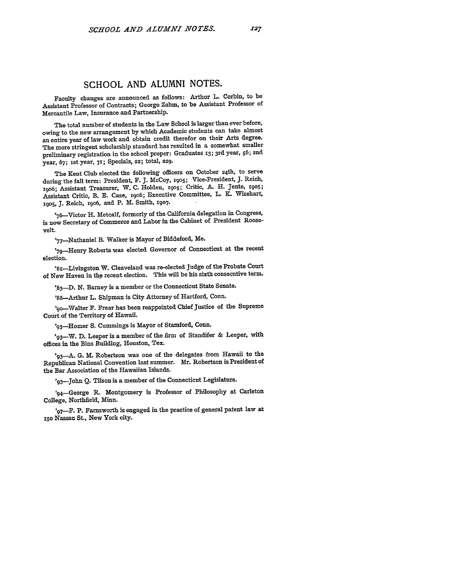## **SCHOOL AND ALUMNI NOTES.**

Faculty changes are announced as follows: Arthur L. Corbin, to be Assistant Professor of Contracts; George Zahm, to be Assistant Professor of Mercantile Law, Insurance and Partnership.

The total number of students in the Law School is larger than ever before, owing to the new arrangement **by** which Academic students can take almost an entire year of law work and obtain credit therefor on their Arts degree. The more stringent scholarship standard has resulted in a somewhat smaller preliminary registration in the school proper: Graduates **13;** 3rd year, **56;** 2nd year, **67;** ist year, **71;** Specials, **22;** total, **229.**

The Kent Club elected the following officers on October 24th, to serve during the fall term: President, F. **J.** McCoy, **19o5;** Vice-President, **J.** Reich, 19o6; Assistant Treasurer, W. **C.** Holden, **x905;** Critic, **A.** H. Jente, **1905;** Assistant Critic, B. **E.** Case, 19o6; Executive Committee, L. **K.** Wisehart, i)oS, **J.** Reich, **i9o6,** and P. M. Smith, **1907.**

'76-Victor H. Metcalf, formerly of the California delegation in Congress, is now Secretary of Commerce and Labor in the Cabinet of President Roosevelt.

'77-Nathaniel B. Walker is Mayor of Biddeford, Me.

'79-Henry Roberts was elected Governor of Connecticut at the recent election.

'8i-Livingston W. Cleaveland was re-elected Judge of the Probate Court of New Haven in the recent election. This will be his sixth consecutive term.

**'.83-D. N.** Barney is a member or the Connecticut State Senate.

'88-Arthur L. Shipman is City Attorney of Hartford, Conn.

'9o-Walter F. Frear has been reappointed Chief Justice of the Supreme Court of the Territory of Hawaii.

'93-Homer S. Cummings is Mayor of Stamford, Conn.

'93-W. D. Leeper is a member of the firm of Standifer & Leeper, with offices in the Binz Building, Houston, Tex.

**'9 <sup>3</sup> -A. G.** M. Robertson was one of the delegates from Hawaii to the Republican National Convention last summer. Mr. Robertson is President of the Bar Association of the Hawaiian Islands.

'93-John Q. Tilson is a member of the Connecticut Legislature.

'94-George R. Montgomery is Professor of Philosophy at Carleton College, Northfield, Minn.

**'9 7-F.** P. Farnsworth is engaged in the practice of general patent law at **xso** Nassau St., New York city.